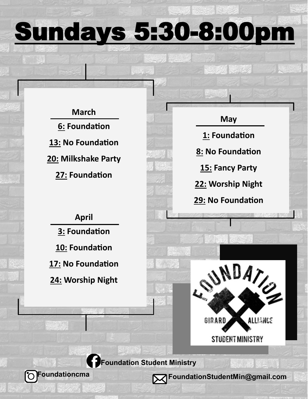Sundays 5:30-8:00pm

**March 6: Foundation 13: No Foundation 20: Milkshake Party 27: Foundation** 

## **April**

**3: Foundation 10: Foundation 17: No Foundation**

**24: Worship Night**

 **Foundationcma** 



 $\mathbb{Z}$  of  $\mathbb{Z}$  , where  $\mathbb{Z}$ 



 **Foundation Student Ministry** 

**FoundationStudentMin@gmail.com**